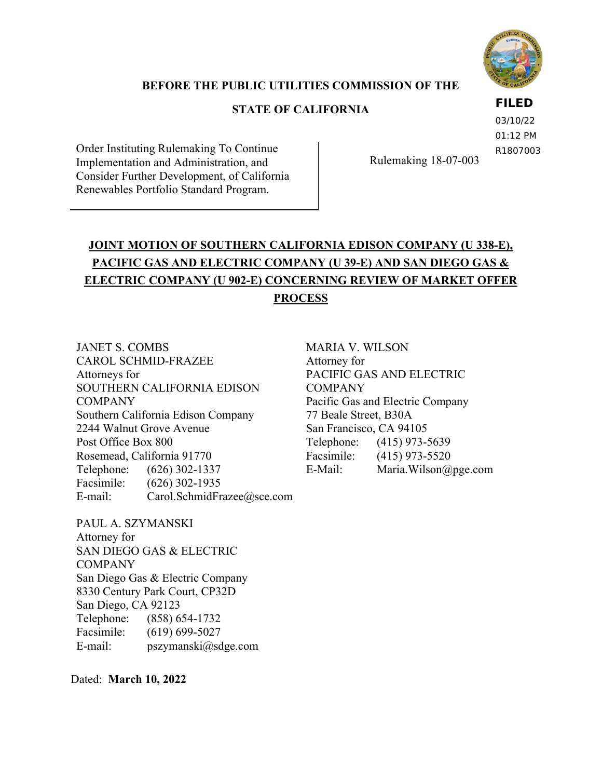

## **BEFORE THE PUBLIC UTILITIES COMMISSION OF THE**

## **STATE OF CALIFORNIA**

### **FILED**

03/10/22 01:12 PM R1807003

Order Instituting Rulemaking To Continue Implementation and Administration, and Consider Further Development, of California Renewables Portfolio Standard Program.

Rulemaking 18-07-003

# **JOINT MOTION OF SOUTHERN CALIFORNIA EDISON COMPANY (U 338-E), PACIFIC GAS AND ELECTRIC COMPANY (U 39-E) AND SAN DIEGO GAS & ELECTRIC COMPANY (U 902-E) CONCERNING REVIEW OF MARKET OFFER PROCESS**

JANET S. COMBS CAROL SCHMID-FRAZEE Attorneys for SOUTHERN CALIFORNIA EDISON COMPANY Southern California Edison Company 2244 Walnut Grove Avenue Post Office Box 800 Rosemead, California 91770 Telephone: (626) 302-1337 Facsimile: (626) 302-1935 E-mail: Carol.SchmidFrazee@sce.com

MARIA V. WILSON Attorney for PACIFIC GAS AND ELECTRIC **COMPANY** Pacific Gas and Electric Company 77 Beale Street, B30A San Francisco, CA 94105 Telephone: (415) 973-5639 Facsimile: (415) 973-5520 E-Mail: Maria.Wilson@pge.com

## PAUL A. SZYMANSKI

Attorney for SAN DIEGO GAS & ELECTRIC COMPANY San Diego Gas & Electric Company 8330 Century Park Court, CP32D San Diego, CA 92123 Telephone: (858) 654-1732 Facsimile: (619) 699-5027 E-mail: pszymanski@sdge.com

Dated: **March 10, 2022**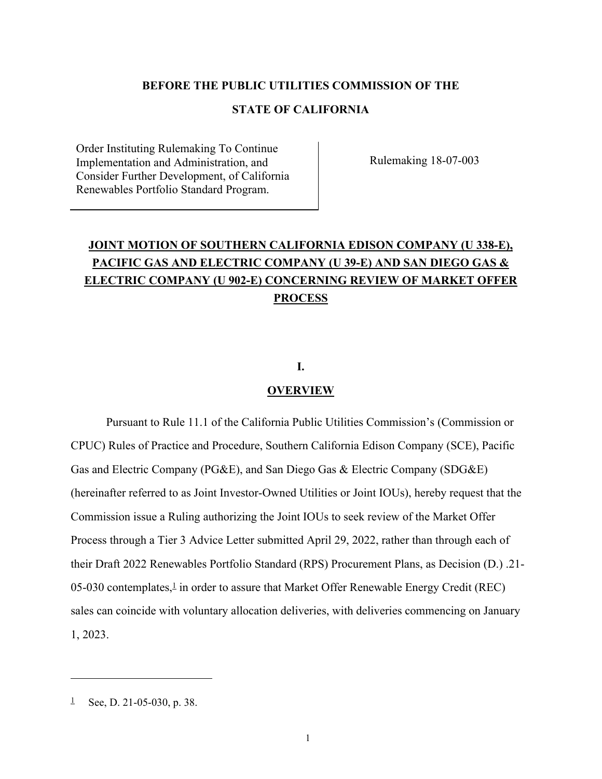#### **BEFORE THE PUBLIC UTILITIES COMMISSION OF THE**

## **STATE OF CALIFORNIA**

Order Instituting Rulemaking To Continue Implementation and Administration, and Consider Further Development, of California Renewables Portfolio Standard Program.

Rulemaking 18-07-003

# **JOINT MOTION OF SOUTHERN CALIFORNIA EDISON COMPANY (U 338-E), PACIFIC GAS AND ELECTRIC COMPANY (U 39-E) AND SAN DIEGO GAS & ELECTRIC COMPANY (U 902-E) CONCERNING REVIEW OF MARKET OFFER PROCESS**

### **I.**

#### **OVERVIEW**

Pursuant to Rule 11.1 of the California Public Utilities Commission's (Commission or CPUC) Rules of Practice and Procedure, Southern California Edison Company (SCE), Pacific Gas and Electric Company (PG&E), and San Diego Gas & Electric Company (SDG&E) (hereinafter referred to as Joint Investor-Owned Utilities or Joint IOUs), hereby request that the Commission issue a Ruling authorizing the Joint IOUs to seek review of the Market Offer Process through a Tier 3 Advice Letter submitted April 29, 2022, rather than through each of their Draft 2022 Renewables Portfolio Standard (RPS) Procurement Plans, as Decision (D.) .21-  $05-030$  contemplates, $\frac{1}{2}$  in order to assure that Market Offer Renewable Energy Credit (REC) sales can coincide with voluntary allocation deliveries, with deliveries commencing on January 1, 2023.

<sup>&</sup>lt;sup>1</sup> See, D. 21-05-030, p. 38.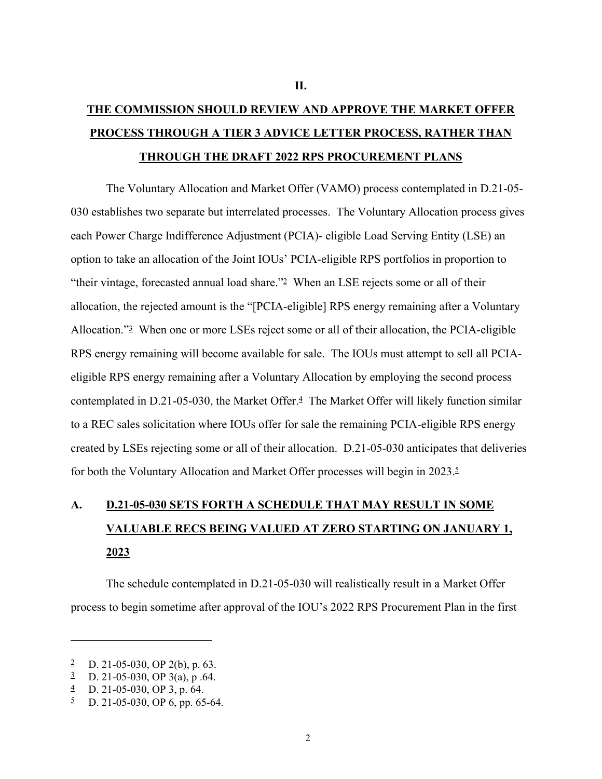# **THE COMMISSION SHOULD REVIEW AND APPROVE THE MARKET OFFER PROCESS THROUGH A TIER 3 ADVICE LETTER PROCESS, RATHER THAN THROUGH THE DRAFT 2022 RPS PROCUREMENT PLANS**

The Voluntary Allocation and Market Offer (VAMO) process contemplated in D.21-05- 030 establishes two separate but interrelated processes. The Voluntary Allocation process gives each Power Charge Indifference Adjustment (PCIA)- eligible Load Serving Entity (LSE) an option to take an allocation of the Joint IOUs' PCIA-eligible RPS portfolios in proportion to "their vintage, forecasted annual load share."2 When an LSE rejects some or all of their allocation, the rejected amount is the "[PCIA-eligible] RPS energy remaining after a Voluntary Allocation."3 When one or more LSEs reject some or all of their allocation, the PCIA-eligible RPS energy remaining will become available for sale. The IOUs must attempt to sell all PCIAeligible RPS energy remaining after a Voluntary Allocation by employing the second process contemplated in D.21-05-030, the Market Offer.<sup>4</sup> The Market Offer will likely function similar to a REC sales solicitation where IOUs offer for sale the remaining PCIA-eligible RPS energy created by LSEs rejecting some or all of their allocation. D.21-05-030 anticipates that deliveries for both the Voluntary Allocation and Market Offer processes will begin in 2023.5

# **A. D.21-05-030 SETS FORTH A SCHEDULE THAT MAY RESULT IN SOME VALUABLE RECS BEING VALUED AT ZERO STARTING ON JANUARY 1, 2023**

The schedule contemplated in D.21-05-030 will realistically result in a Market Offer process to begin sometime after approval of the IOU's 2022 RPS Procurement Plan in the first

<sup>2</sup> D. 21-05-030, OP 2(b), p. 63.

 $\frac{3}{2}$  D. 21-05-030, OP 3(a), p.64.

 $\frac{4}{1}$  D. 21-05-030, OP 3, p. 64.

 $\frac{5}{2}$  D. 21-05-030, OP 6, pp. 65-64.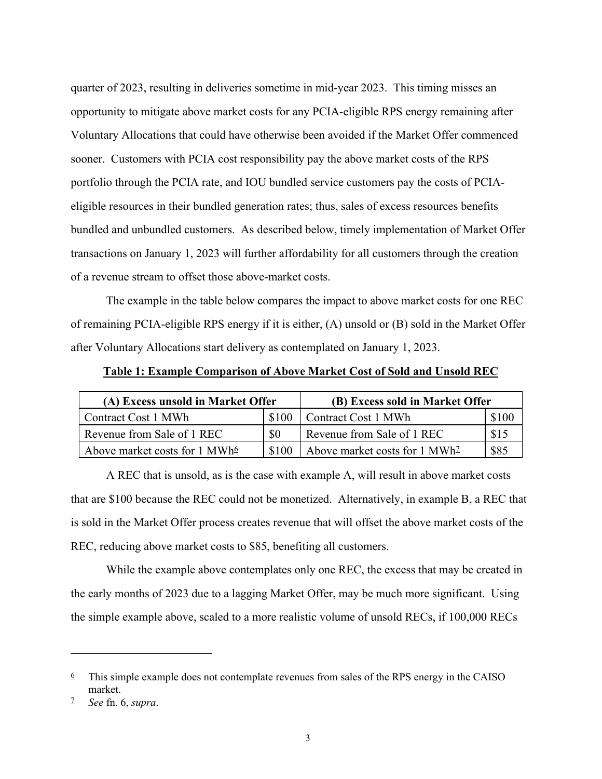quarter of 2023, resulting in deliveries sometime in mid-year 2023. This timing misses an opportunity to mitigate above market costs for any PCIA-eligible RPS energy remaining after Voluntary Allocations that could have otherwise been avoided if the Market Offer commenced sooner. Customers with PCIA cost responsibility pay the above market costs of the RPS portfolio through the PCIA rate, and IOU bundled service customers pay the costs of PCIAeligible resources in their bundled generation rates; thus, sales of excess resources benefits bundled and unbundled customers. As described below, timely implementation of Market Offer transactions on January 1, 2023 will further affordability for all customers through the creation of a revenue stream to offset those above-market costs.

The example in the table below compares the impact to above market costs for one REC of remaining PCIA-eligible RPS energy if it is either, (A) unsold or (B) sold in the Market Offer after Voluntary Allocations start delivery as contemplated on January 1, 2023.

**Table 1: Example Comparison of Above Market Cost of Sold and Unsold REC** 

| (A) Excess unsold in Market Offer         |           | (B) Excess sold in Market Offer           |       |
|-------------------------------------------|-----------|-------------------------------------------|-------|
| Contract Cost 1 MWh                       | \$100     | Contract Cost 1 MWh                       | \$100 |
| Revenue from Sale of 1 REC                | <b>SO</b> | Revenue from Sale of 1 REC                | \$15  |
| Above market costs for 1 MWh <sup>6</sup> | \$100     | Above market costs for 1 MWh <sup>2</sup> | \$85  |

A REC that is unsold, as is the case with example A, will result in above market costs that are \$100 because the REC could not be monetized. Alternatively, in example B, a REC that is sold in the Market Offer process creates revenue that will offset the above market costs of the REC, reducing above market costs to \$85, benefiting all customers.

While the example above contemplates only one REC, the excess that may be created in the early months of 2023 due to a lagging Market Offer, may be much more significant. Using the simple example above, scaled to a more realistic volume of unsold RECs, if 100,000 RECs

 $6$  This simple example does not contemplate revenues from sales of the RPS energy in the CAISO market.

<sup>7</sup> *See* fn. 6, *supra*.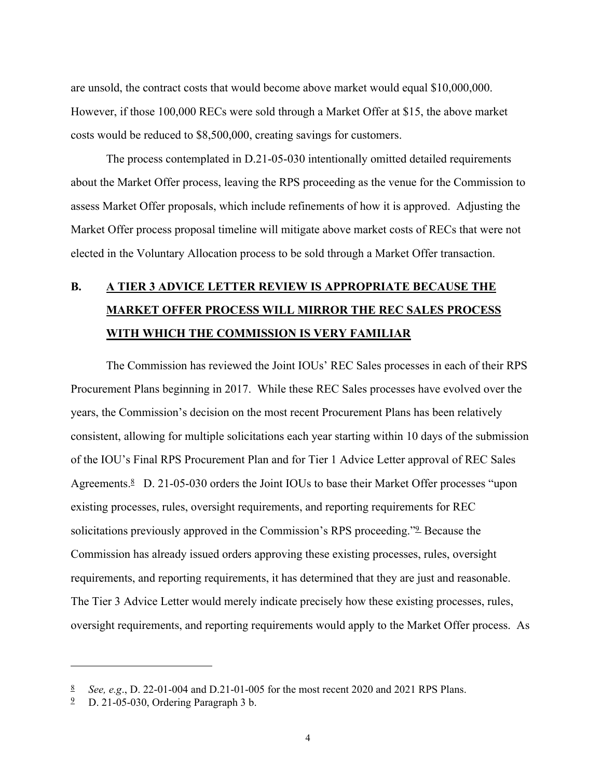are unsold, the contract costs that would become above market would equal \$10,000,000. However, if those 100,000 RECs were sold through a Market Offer at \$15, the above market costs would be reduced to \$8,500,000, creating savings for customers.

The process contemplated in D.21-05-030 intentionally omitted detailed requirements about the Market Offer process, leaving the RPS proceeding as the venue for the Commission to assess Market Offer proposals, which include refinements of how it is approved. Adjusting the Market Offer process proposal timeline will mitigate above market costs of RECs that were not elected in the Voluntary Allocation process to be sold through a Market Offer transaction.

# **B. A TIER 3 ADVICE LETTER REVIEW IS APPROPRIATE BECAUSE THE MARKET OFFER PROCESS WILL MIRROR THE REC SALES PROCESS WITH WHICH THE COMMISSION IS VERY FAMILIAR**

The Commission has reviewed the Joint IOUs' REC Sales processes in each of their RPS Procurement Plans beginning in 2017. While these REC Sales processes have evolved over the years, the Commission's decision on the most recent Procurement Plans has been relatively consistent, allowing for multiple solicitations each year starting within 10 days of the submission of the IOU's Final RPS Procurement Plan and for Tier 1 Advice Letter approval of REC Sales Agreements.<sup>8</sup> D. 21-05-030 orders the Joint IOUs to base their Market Offer processes "upon existing processes, rules, oversight requirements, and reporting requirements for REC solicitations previously approved in the Commission's RPS proceeding."9 Because the Commission has already issued orders approving these existing processes, rules, oversight requirements, and reporting requirements, it has determined that they are just and reasonable. The Tier 3 Advice Letter would merely indicate precisely how these existing processes, rules, oversight requirements, and reporting requirements would apply to the Market Offer process. As

<sup>8</sup> *See, e.g*., D. 22-01-004 and D.21-01-005 for the most recent 2020 and 2021 RPS Plans.

<sup>9</sup> D. 21-05-030, Ordering Paragraph 3 b.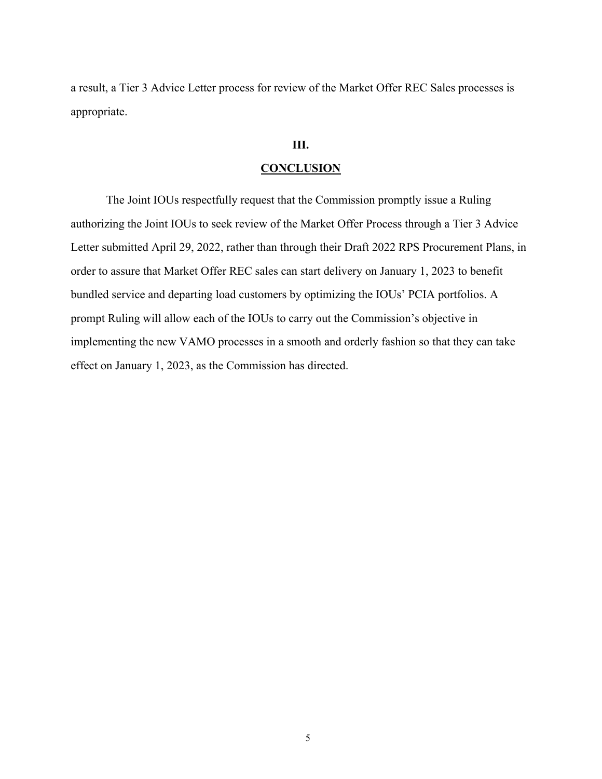a result, a Tier 3 Advice Letter process for review of the Market Offer REC Sales processes is appropriate.

### **III.**

#### **CONCLUSION**

The Joint IOUs respectfully request that the Commission promptly issue a Ruling authorizing the Joint IOUs to seek review of the Market Offer Process through a Tier 3 Advice Letter submitted April 29, 2022, rather than through their Draft 2022 RPS Procurement Plans, in order to assure that Market Offer REC sales can start delivery on January 1, 2023 to benefit bundled service and departing load customers by optimizing the IOUs' PCIA portfolios. A prompt Ruling will allow each of the IOUs to carry out the Commission's objective in implementing the new VAMO processes in a smooth and orderly fashion so that they can take effect on January 1, 2023, as the Commission has directed.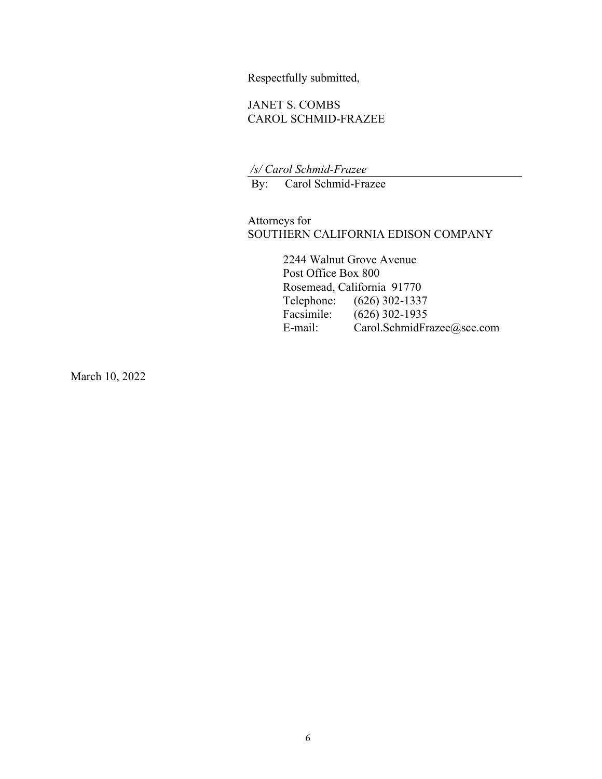Respectfully submitted,

### JANET S. COMBS CAROL SCHMID-FRAZEE

 */s/ Carol Schmid-Frazee* 

By: Carol Schmid-Frazee

Attorneys for SOUTHERN CALIFORNIA EDISON COMPANY

> 2244 Walnut Grove Avenue Post Office Box 800 Rosemead, California 91770<br>Telephone: (626) 302-1337  $(626)$  302-1337 Facsimile: (626) 302-1935 E-mail: Carol.SchmidFrazee@sce.com

March 10, 2022